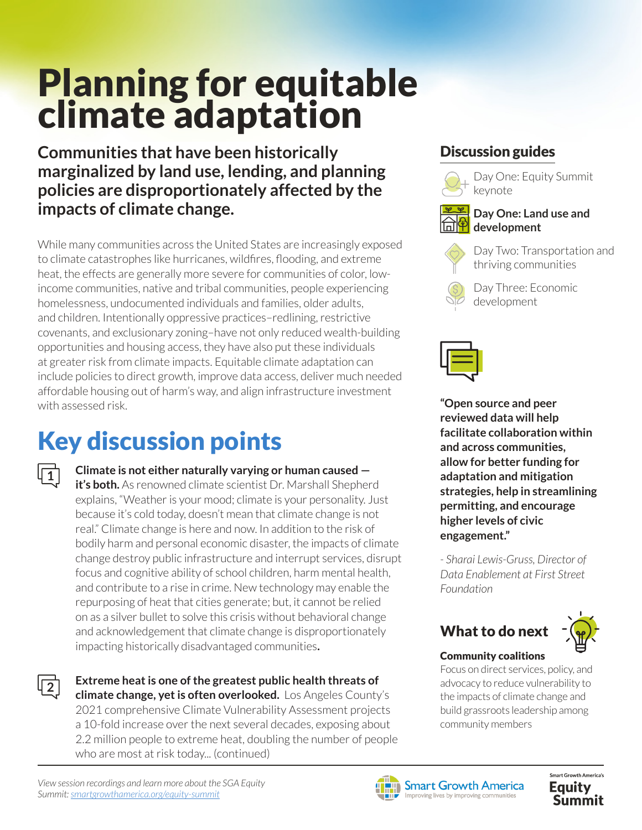# Planning for equitable climate adaptation

**Communities that have been historically marginalized by land use, lending, and planning policies are disproportionately affected by the impacts of climate change.**

While many communities across the United States are increasingly exposed to climate catastrophes like hurricanes, wildfires, flooding, and extreme heat, the effects are generally more severe for communities of color, lowincome communities, native and tribal communities, people experiencing homelessness, undocumented individuals and families, older adults, and children. Intentionally oppressive practices–redlining, restrictive covenants, and exclusionary zoning–have not only reduced wealth-building opportunities and housing access, they have also put these individuals at greater risk from climate impacts. Equitable climate adaptation can include policies to direct growth, improve data access, deliver much needed affordable housing out of harm's way, and align infrastructure investment with assessed risk.

## Key discussion points

**Climate is not either naturally varying or human caused it's both.** As renowned climate scientist Dr. Marshall Shepherd explains, "Weather is your mood; climate is your personality. Just because it's cold today, doesn't mean that climate change is not real." Climate change is here and now. In addition to the risk of bodily harm and personal economic disaster, the impacts of climate change destroy public infrastructure and interrupt services, disrupt focus and cognitive ability of school children, harm mental health, and contribute to a rise in crime. New technology may enable the repurposing of heat that cities generate; but, it cannot be relied on as a silver bullet to solve this crisis without behavioral change and acknowledgement that climate change is disproportionately impacting historically disadvantaged communities**.**

**2**

**1**

**Extreme heat is one of the greatest public health threats of climate change, yet is often overlooked.** Los Angeles County's 2021 comprehensive Climate Vulnerability Assessment projects a 10-fold increase over the next several decades, exposing about 2.2 million people to extreme heat, doubling the number of people who are most at risk today... (continued)

### Discussion guides



Day One: Equity Summit keynote



### **Day One: Land use and development**



Day Two: Transportation and thriving communities





**"Open source and peer reviewed data will help facilitate collaboration within and across communities, allow for better funding for adaptation and mitigation strategies, help in streamlining permitting, and encourage higher levels of civic engagement."** 

*- Sharai Lewis-Gruss, Director of Data Enablement at First Street Foundation*





### Community coalitions

Focus on direct services, policy, and advocacy to reduce vulnerability to the impacts of climate change and build grassroots leadership among community members